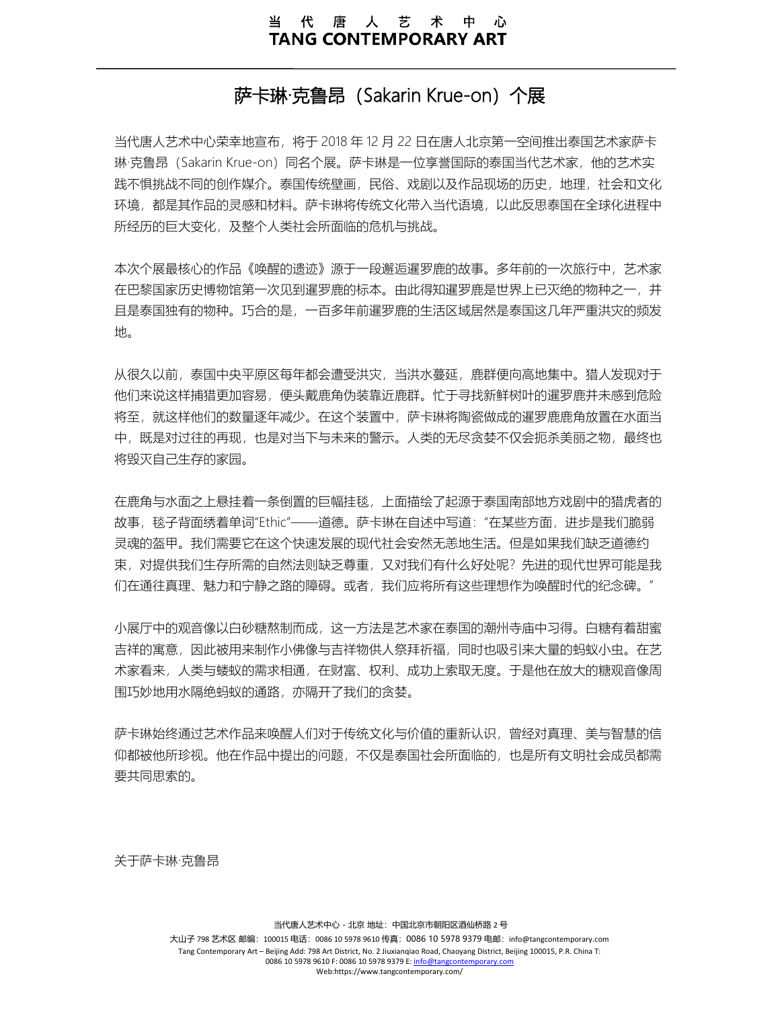# 萨卡琳·克鲁昂(Sakarin Krue-on)个展

当代唐人艺术中心荣幸地宣布,将于 2018 年 12 月 22 日在唐人北京第一空间推出泰国艺术家萨卡 琳·克鲁昂 (Sakarin Krue-on) 同名个展。萨卡琳是一位享誉国际的泰国当代艺术家, 他的艺术实 践不惧挑战不同的创作媒介。泰国传统壁画,民俗、戏剧以及作品现场的历史,地理,社会和文化 环境,都是其作品的灵感和材料。萨卡琳将传统文化带入当代语境,以此反思泰国在全球化进程中 所经历的巨大变化,及整个人类社会所面临的危机与挑战。

本次个展最核心的作品《唤醒的遗迹》源于一段邂逅暹罗鹿的故事。多年前的一次旅行中,艺术家 在巴黎国家历史博物馆第一次见到暹罗鹿的标本。由此得知暹罗鹿是世界上已灭绝的物种之一,并 且是泰国独有的物种。巧合的是,一百多年前暹罗鹿的生活区域居然是泰国这几年严重洪灾的频发 地。

从很久以前,泰国中央平原区每年都会遭受洪灾,当洪水蔓延,鹿群便向高地集中。猎人发现对于 他们来说这样捕猎更加容易,便头戴鹿角伪装靠近鹿群。忙于寻找新鲜树叶的暹罗鹿并未感到危险 将至,就这样他们的数量逐年减少。在这个装置中,萨卡琳将陶瓷做成的暹罗鹿鹿角放置在水面当 中,既是对过往的再现,也是对当下与未来的警示。人类的无尽贪婪不仅会扼杀美丽之物,最终也 将毁灭自己生存的家园。

在鹿角与水面之上悬挂着一条倒置的巨幅挂毯,上面描绘了起源于泰国南部地方戏剧中的猎虎者的 故事,毯子背面绣着单词"Ethic"——道德。萨卡琳在自述中写道:"在某些方面,进步是我们脆弱 灵魂的盔甲。我们需要它在这个快速发展的现代社会安然无恙地生活。但是如果我们缺乏道德约 束, 对提供我们生存所需的自然法则缺乏尊重, 又对我们有什么好处呢? 先进的现代世界可能是我 们在通往真理、魅力和宁静之路的障碍。或者,我们应将所有这些理想作为唤醒时代的纪念碑。"

小展厅中的观音像以白砂糖熬制而成,这一方法是艺术家在泰国的潮州寺庙中习得。白糖有着甜蜜 吉祥的寓意,因此被用来制作小佛像与吉祥物供人祭拜祈福,同时也吸引来大量的蚂蚁小虫。在艺 术家看来,人类与蝼蚁的需求相通,在财富、权利、成功上索取无度。于是他在放大的糖观音像周 围巧妙地用水隔绝蚂蚁的通路,亦隔开了我们的贪婪。

萨卡琳始终通过艺术作品来唤醒人们对于传统文化与价值的重新认识,曾经对真理、美与智慧的信 仰都被他所珍视。他在作品中提出的问题,不仅是泰国社会所面临的,也是所有文明社会成员都需 要共同思索的。

关于萨卡琳·克鲁昂

大山子 798 艺术区 邮编: 100015 电话: 0086 10 5978 9610 传真: 0086 10 5978 9379 电邮: info@tangcontemporary.com Tang Contemporary Art – Beijing Add: 798 Art District, No. 2 Jiuxianqiao Road, Chaoyang District, Beijing 100015, P.R. China T: 0086 10 5978 9610 F: 0086 10 5978 9379 E[: info@tangcontemporary.com](mailto:info@tangcontemporary.com) Web:https://www.tangcontemporary.com/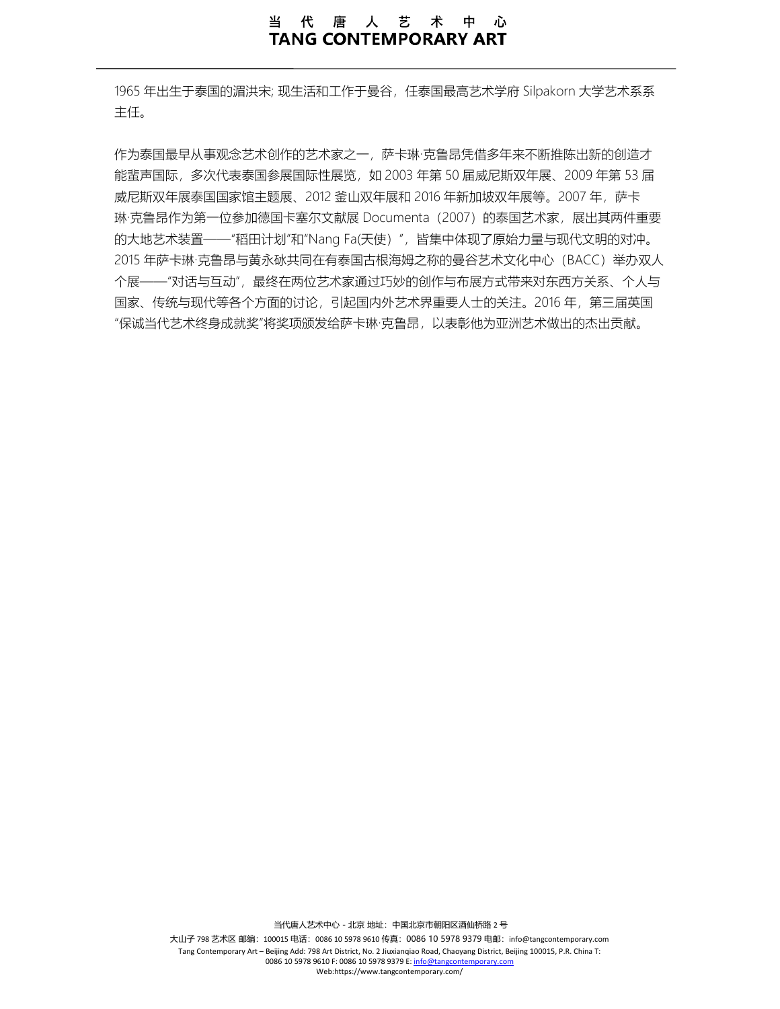### 代唐人艺术中心 当 **TANG CONTEMPORARY ART**

1965 年出生于泰国的湄洪宋; 现生活和工作于曼谷, 任泰国最高艺术学府 Silpakorn 大学艺术系系 主任。

作为泰国最早从事观念艺术创作的艺术家之一, 萨卡琳·克鲁昂凭借多年来不断推陈出新的创造才 能蜚声国际,多次代表泰国参展国际性展览,如 2003 年第 50 届威尼斯双年展、2009 年第 53 届 威尼斯双年展泰国国家馆主题展、2012 釜山双年展和 2016 年新加坡双年展等。2007 年,萨卡 琳·克鲁昂作为第一位参加德国卡塞尔文献展 Documenta (2007) 的泰国艺术家,展出其两件重要 的大地艺术装置——"稻田计划"和"Nang Fa(天使)",皆集中体现了原始力量与现代文明的对冲。 2015 年萨卡琳·克鲁昂与黄永砅共同在有泰国古根海姆之称的曼谷艺术文化中心(BACC)举办双人 个展——"对话与互动",最终在两位艺术家通过巧妙的创作与布展方式带来对东西方关系、个人与 国家、传统与现代等各个方面的讨论,引起国内外艺术界重要人士的关注。2016 年,第三三届英国 "保诚当代艺术终身成就奖"将奖项颁发给萨卡琳·克鲁昂,以表彰他为亚洲艺术做出的杰出贡献。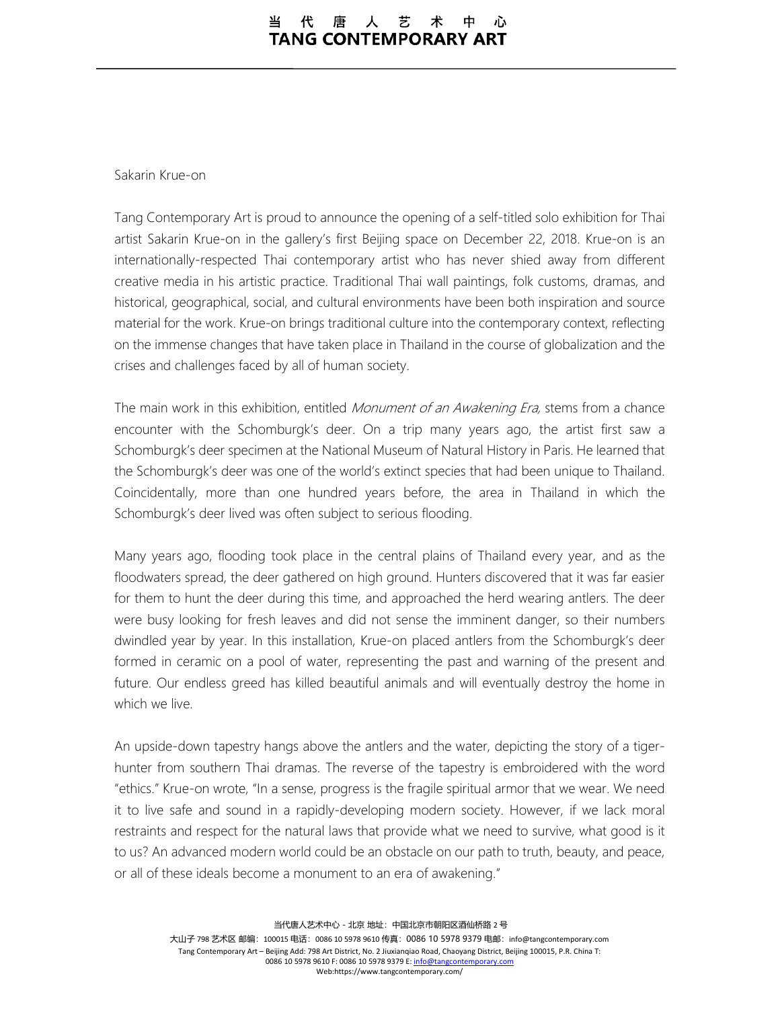#### 唐人艺 代 术 中 **TANG CONTEMPORARY ART**

### Sakarin Krue-on

Tang Contemporary Art is proud to announce the opening of a self-titled solo exhibition for Thai artist Sakarin Krue-on in the gallery's first Beijing space on December 22, 2018. Krue-on is an internationally-respected Thai contemporary artist who has never shied away from different creative media in his artistic practice. Traditional Thai wall paintings, folk customs, dramas, and historical, geographical, social, and cultural environments have been both inspiration and source material for the work. Krue-on brings traditional culture into the contemporary context, reflecting on the immense changes that have taken place in Thailand in the course of globalization and the crises and challenges faced by all of human society.

The main work in this exhibition, entitled *Monument of an Awakening Era*, stems from a chance encounter with the Schomburgk's deer. On a trip many years ago, the artist first saw a Schomburgk's deer specimen at the National Museum of Natural History in Paris. He learned that the Schomburgk's deer was one of the world's extinct species that had been unique to Thailand. Coincidentally, more than one hundred years before, the area in Thailand in which the Schomburgk's deer lived was often subject to serious flooding.

Many years ago, flooding took place in the central plains of Thailand every year, and as the floodwaters spread, the deer gathered on high ground. Hunters discovered that it was far easier for them to hunt the deer during this time, and approached the herd wearing antlers. The deer were busy looking for fresh leaves and did not sense the imminent danger, so their numbers dwindled year by year. In this installation, Krue-on placed antlers from the Schomburgk's deer formed in ceramic on a pool of water, representing the past and warning of the present and future. Our endless greed has killed beautiful animals and will eventually destroy the home in which we live.

An upside-down tapestry hangs above the antlers and the water, depicting the story of a tigerhunter from southern Thai dramas. The reverse of the tapestry is embroidered with the word "ethics." Krue-on wrote, "In a sense, progress is the fragile spiritual armor that we wear. We need it to live safe and sound in a rapidly-developing modern society. However, if we lack moral restraints and respect for the natural laws that provide what we need to survive, what good is it to us? An advanced modern world could be an obstacle on our path to truth, beauty, and peace, or all of these ideals become a monument to an era of awakening."

当代唐人艺术中心-北京 地址:中国北京市朝阳区酒仙桥路 2 号

大山子 798 艺术区 邮编: 100015 电话: 0086 10 5978 9610 传真: 0086 10 5978 9379 电邮: info@tangcontemporary.com Tang Contemporary Art – Beijing Add: 798 Art District, No. 2 Jiuxianqiao Road, Chaoyang District, Beijing 100015, P.R. China T: 0086 10 5978 9610 F: 0086 10 5978 9379 E[: info@tangcontemporary.com](mailto:info@tangcontemporary.com) Web:https://www.tangcontemporary.com/